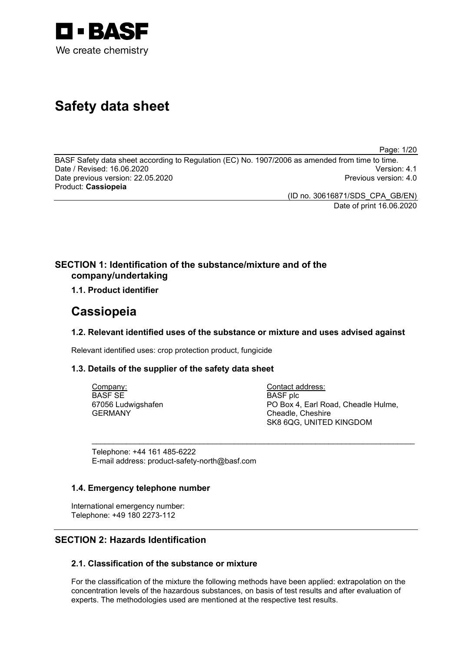

# **Safety data sheet**

Page: 1/20

BASF Safety data sheet according to Regulation (EC) No. 1907/2006 as amended from time to time. Date / Revised: 16.06.2020 Version: 4.1 Date previous version: 22.05.2020 Product: **Cassiopeia**

> (ID no. 30616871/SDS\_CPA\_GB/EN) Date of print 16.06.2020

## **SECTION 1: Identification of the substance/mixture and of the company/undertaking**

## **1.1. Product identifier**

## **Cassiopeia**

## **1.2. Relevant identified uses of the substance or mixture and uses advised against**

\_\_\_\_\_\_\_\_\_\_\_\_\_\_\_\_\_\_\_\_\_\_\_\_\_\_\_\_\_\_\_\_\_\_\_\_\_\_\_\_\_\_\_\_\_\_\_\_\_\_\_\_\_\_\_\_\_\_\_\_\_\_\_\_\_\_\_\_\_\_\_\_\_\_\_

Relevant identified uses: crop protection product, fungicide

## **1.3. Details of the supplier of the safety data sheet**

Company: BASF SE 67056 Ludwigshafen GERMANY

Contact address: BASF plc PO Box 4, Earl Road, Cheadle Hulme, Cheadle, Cheshire SK8 6QG, UNITED KINGDOM

Telephone: +44 161 485-6222 E-mail address: product-safety-north@basf.com

## **1.4. Emergency telephone number**

International emergency number: Telephone: +49 180 2273-112

## **SECTION 2: Hazards Identification**

## **2.1. Classification of the substance or mixture**

For the classification of the mixture the following methods have been applied: extrapolation on the concentration levels of the hazardous substances, on basis of test results and after evaluation of experts. The methodologies used are mentioned at the respective test results.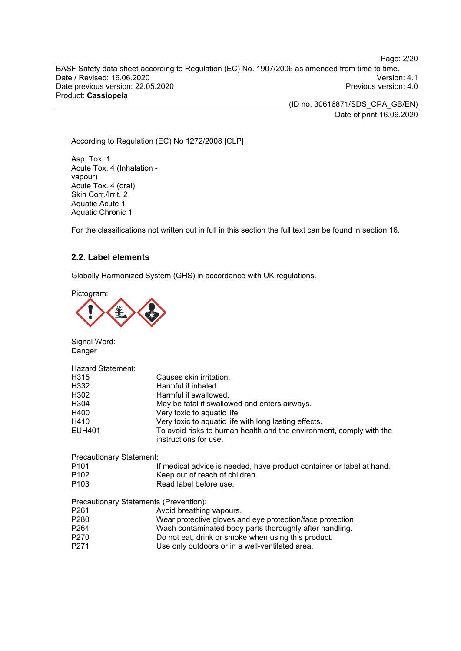Page: 2/20

BASF Safety data sheet according to Regulation (EC) No. 1907/2006 as amended from time to time. Date / Revised: 16.06.2020 Version: 4.1 Date previous version: 22.05.2020 Product: **Cassiopeia**

> (ID no. 30616871/SDS\_CPA\_GB/EN) Date of print 16.06.2020

#### According to Regulation (EC) No 1272/2008 [CLP]

Asp. Tox. 1 Acute Tox. 4 (Inhalation vapour) Acute Tox. 4 (oral) Skin Corr./Irrit. 2 Aquatic Acute 1 Aquatic Chronic 1

For the classifications not written out in full in this section the full text can be found in section 16.

## **2.2. Label elements**

Globally Harmonized System (GHS) in accordance with UK regulations.

Pictogram:



Signal Word: Danger

| Hazard Statement: |                                                                                              |
|-------------------|----------------------------------------------------------------------------------------------|
| H315              | Causes skin irritation.                                                                      |
| H332              | Harmful if inhaled.                                                                          |
| H302              | Harmful if swallowed.                                                                        |
| H <sub>304</sub>  | May be fatal if swallowed and enters airways.                                                |
| H400              | Very toxic to aquatic life.                                                                  |
| H410              | Very toxic to aquatic life with long lasting effects.                                        |
| EUH401            | To avoid risks to human health and the environment, comply with the<br>instructions for use. |

Precautionary Statement:

| P <sub>101</sub> | If medical advice is needed, have product container or label at hand. |
|------------------|-----------------------------------------------------------------------|
| P <sub>102</sub> | Keep out of reach of children.                                        |
| P <sub>103</sub> | Read label before use.                                                |

Precautionary Statements (Prevention):

| P261 | Avoid breathing vapours.                                  |
|------|-----------------------------------------------------------|
| P280 | Wear protective gloves and eye protection/face protection |
| P264 | Wash contaminated body parts thoroughly after handling.   |
| P270 | Do not eat, drink or smoke when using this product.       |
|      |                                                           |

P271 Use only outdoors or in a well-ventilated area.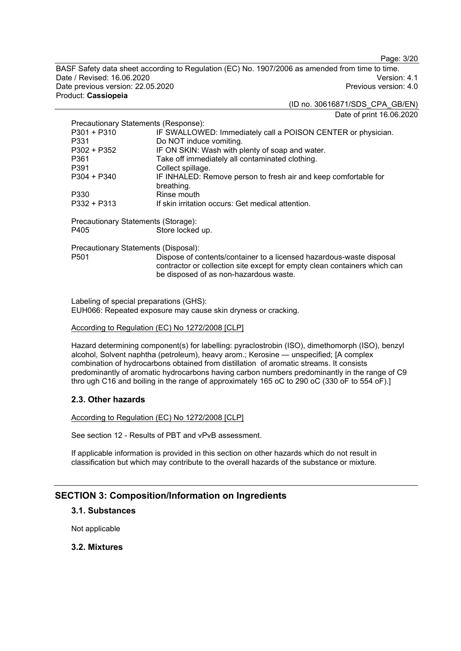Page: 3/20

BASF Safety data sheet according to Regulation (EC) No. 1907/2006 as amended from time to time. Date / Revised: 16.06.2020 Version: 4.1 Date previous version: 22.05.2020 Product: **Cassiopeia**

(ID no. 30616871/SDS\_CPA\_GB/EN)

Date of print 16.06.2020

| Precautionary Statements (Response): |                                                                                                                                                                                             |
|--------------------------------------|---------------------------------------------------------------------------------------------------------------------------------------------------------------------------------------------|
| P301 + P310                          | IF SWALLOWED: Immediately call a POISON CENTER or physician.                                                                                                                                |
| P331                                 | Do NOT induce vomiting.                                                                                                                                                                     |
| P302 + P352                          | IF ON SKIN: Wash with plenty of soap and water.                                                                                                                                             |
| P361                                 | Take off immediately all contaminated clothing.                                                                                                                                             |
| P391                                 | Collect spillage.                                                                                                                                                                           |
| $P304 + P340$                        | IF INHALED: Remove person to fresh air and keep comfortable for                                                                                                                             |
|                                      | breathing.                                                                                                                                                                                  |
| P330                                 | Rinse mouth                                                                                                                                                                                 |
| $P332 + P313$                        | If skin irritation occurs: Get medical attention.                                                                                                                                           |
| Precautionary Statements (Storage):  |                                                                                                                                                                                             |
| P405                                 | Store locked up.                                                                                                                                                                            |
|                                      |                                                                                                                                                                                             |
| Precautionary Statements (Disposal): |                                                                                                                                                                                             |
| P <sub>501</sub>                     | Dispose of contents/container to a licensed hazardous-waste disposal<br>contractor or collection site except for empty clean containers which can<br>be disposed of as non-hazardous waste. |
|                                      |                                                                                                                                                                                             |

Labeling of special preparations (GHS): EUH066: Repeated exposure may cause skin dryness or cracking.

#### According to Regulation (EC) No 1272/2008 [CLP]

Hazard determining component(s) for labelling: pyraclostrobin (ISO), dimethomorph (ISO), benzyl alcohol, Solvent naphtha (petroleum), heavy arom.; Kerosine — unspecified; [A complex combination of hydrocarbons obtained from distillation of aromatic streams. It consists predominantly of aromatic hydrocarbons having carbon numbers predominantly in the range of C9 thro ugh C16 and boiling in the range of approximately 165 oC to 290 oC (330 oF to 554 oF).]

## **2.3. Other hazards**

According to Regulation (EC) No 1272/2008 [CLP]

See section 12 - Results of PBT and vPvB assessment.

If applicable information is provided in this section on other hazards which do not result in classification but which may contribute to the overall hazards of the substance or mixture.

## **SECTION 3: Composition/Information on Ingredients**

## **3.1. Substances**

Not applicable

## **3.2. Mixtures**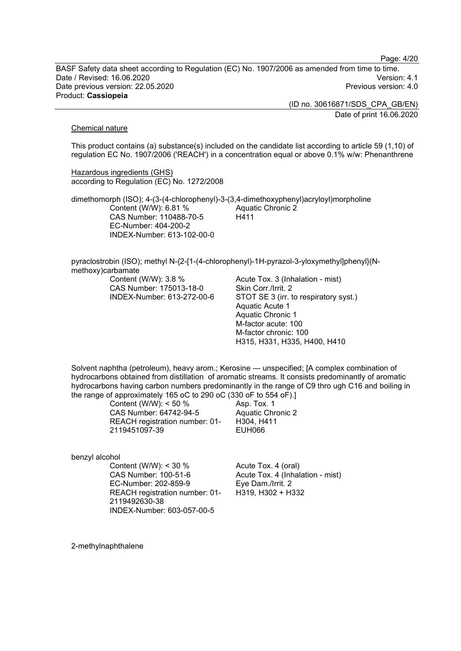Page: 4/20

BASF Safety data sheet according to Regulation (EC) No. 1907/2006 as amended from time to time. Date / Revised: 16.06.2020 Version: 4.1 Date previous version: 22.05.2020 Product: **Cassiopeia**

> (ID no. 30616871/SDS\_CPA\_GB/EN) Date of print 16.06.2020

#### Chemical nature

This product contains (a) substance(s) included on the candidate list according to article 59 (1,10) of regulation EC No. 1907/2006 ('REACH') in a concentration equal or above 0.1% w/w: Phenanthrene

Hazardous ingredients (GHS) according to Regulation (EC) No. 1272/2008

dimethomorph (ISO); 4-(3-(4-chlorophenyl)-3-(3,4-dimethoxyphenyl)acryloyl)morpholine Content (W/W): 6.81 % CAS Number: 110488-70-5 EC-Number: 404-200-2 INDEX-Number: 613-102-00-0 Aquatic Chronic 2 H411

pyraclostrobin (ISO); methyl N-{2-[1-(4-chlorophenyl)-1H-pyrazol-3-yloxymethyl]phenyl}(Nmethoxy)carbamate

Content (W/W): 3.8 % CAS Number: 175013-18-0 INDEX-Number: 613-272-00-6 Acute Tox. 3 (Inhalation - mist) Skin Corr./Irrit. 2 STOT SE 3 (irr. to respiratory syst.) Aquatic Acute 1 Aquatic Chronic 1 M-factor acute: 100 M-factor chronic: 100 H315, H331, H335, H400, H410

Solvent naphtha (petroleum), heavy arom.; Kerosine — unspecified; [A complex combination of hydrocarbons obtained from distillation of aromatic streams. It consists predominantly of aromatic hydrocarbons having carbon numbers predominantly in the range of C9 thro ugh C16 and boiling in the range of approximately 165 oC to 290 oC (330 oF to 554 oF).]

> Content (W/W): < 50 % CAS Number: 64742-94-5 REACH registration number: 01- 2119451097-39

Asp. Tox. 1 Aquatic Chronic 2 H304, H411 EUH066

benzyl alcohol

Content (W/W): < 30 % CAS Number: 100-51-6 EC-Number: 202-859-9 REACH registration number: 01- 2119492630-38 INDEX-Number: 603-057-00-5

Acute Tox. 4 (oral) Acute Tox. 4 (Inhalation - mist) Eye Dam./Irrit. 2 H319, H302 + H332

2-methylnaphthalene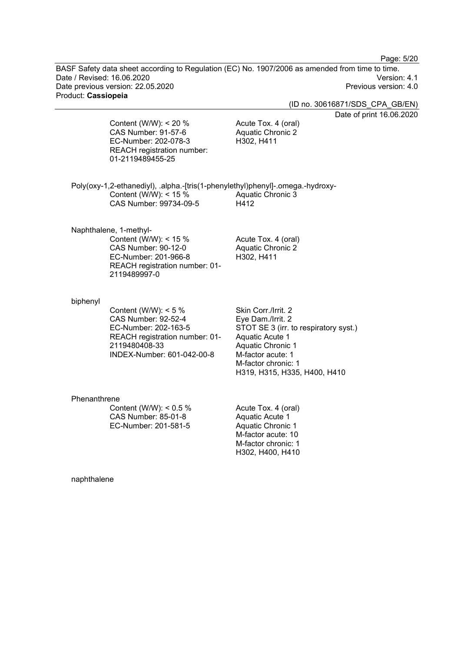Page: 5/20

BASF Safety data sheet according to Regulation (EC) No. 1907/2006 as amended from time to time. Date / Revised: 16.06.2020 Version: 4.1 Date previous version: 22.05.2020 Product: **Cassiopeia**

(ID no. 30616871/SDS\_CPA\_GB/EN)

Date of print 16.06.2020

Content (W/W): < 20 % CAS Number: 91-57-6 EC-Number: 202-078-3 REACH registration number: 01-2119489455-25

Acute Tox. 4 (oral) Aquatic Chronic 2 H302, H411

Acute Tox. 4 (oral) Aquatic Chronic 2

H302, H400, H410

Poly(oxy-1,2-ethanediyl), .alpha.-[tris(1-phenylethyl)phenyl]-.omega.-hydroxy-Content (W/W): < 15 % CAS Number: 99734-09-5 Aquatic Chronic 3 H412

Naphthalene, 1-methyl-

Content (W/W): < 15 % CAS Number: 90-12-0 EC-Number: 201-966-8 REACH registration number: 01- 2119489997-0

H302, H411

#### biphenyl

Content (W/W):  $< 5 \%$ CAS Number: 92-52-4 EC-Number: 202-163-5 REACH registration number: 01- 2119480408-33 INDEX-Number: 601-042-00-8

Skin Corr./Irrit. 2 Eye Dam./Irrit. 2 STOT SE 3 (irr. to respiratory syst.) Aquatic Acute 1 Aquatic Chronic 1 M-factor acute: 1 M-factor chronic: 1 H319, H315, H335, H400, H410

#### Phenanthrene

Content (W/W): < 0.5 % CAS Number: 85-01-8 EC-Number: 201-581-5 Acute Tox. 4 (oral) Aquatic Acute 1 Aquatic Chronic 1 M-factor acute: 10 M-factor chronic: 1

naphthalene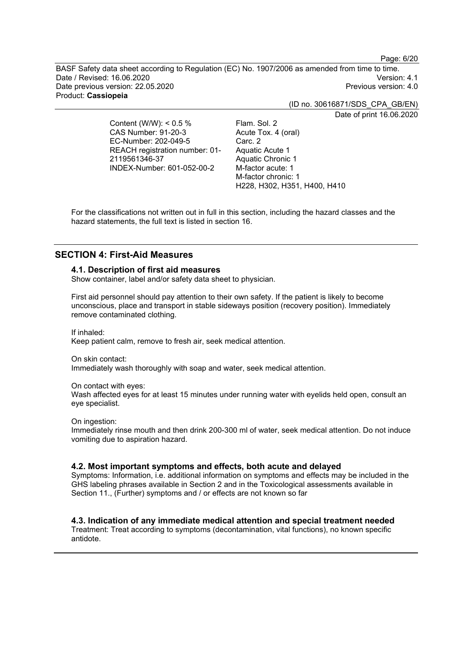Page: 6/20

BASF Safety data sheet according to Regulation (EC) No. 1907/2006 as amended from time to time. Date / Revised: 16.06.2020 Version: 4.1 Date previous version: 22.05.2020 Product: **Cassiopeia**

(ID no. 30616871/SDS\_CPA\_GB/EN)

Date of print 16.06.2020

Content (W/W): < 0.5 % CAS Number: 91-20-3 EC-Number: 202-049-5 REACH registration number: 01- 2119561346-37 INDEX-Number: 601-052-00-2

Flam. Sol. 2 Acute Tox. 4 (oral) Carc. 2 Aquatic Acute 1 Aquatic Chronic 1 M-factor acute: 1 M-factor chronic: 1 H228, H302, H351, H400, H410

For the classifications not written out in full in this section, including the hazard classes and the hazard statements, the full text is listed in section 16.

## **SECTION 4: First-Aid Measures**

## **4.1. Description of first aid measures**

Show container, label and/or safety data sheet to physician.

First aid personnel should pay attention to their own safety. If the patient is likely to become unconscious, place and transport in stable sideways position (recovery position). Immediately remove contaminated clothing.

If inhaled:

Keep patient calm, remove to fresh air, seek medical attention.

On skin contact:

Immediately wash thoroughly with soap and water, seek medical attention.

On contact with eyes:

Wash affected eyes for at least 15 minutes under running water with eyelids held open, consult an eye specialist.

On ingestion:

Immediately rinse mouth and then drink 200-300 ml of water, seek medical attention. Do not induce vomiting due to aspiration hazard.

#### **4.2. Most important symptoms and effects, both acute and delayed**

Symptoms: Information, i.e. additional information on symptoms and effects may be included in the GHS labeling phrases available in Section 2 and in the Toxicological assessments available in Section 11., (Further) symptoms and / or effects are not known so far

## **4.3. Indication of any immediate medical attention and special treatment needed**

Treatment: Treat according to symptoms (decontamination, vital functions), no known specific antidote.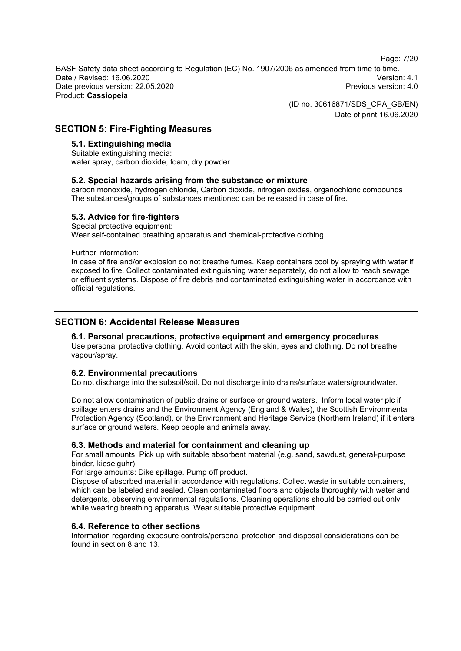Page: 7/20

BASF Safety data sheet according to Regulation (EC) No. 1907/2006 as amended from time to time. Date / Revised: 16.06.2020 Version: 4.1 Date previous version: 22.05.2020 Product: **Cassiopeia**

> (ID no. 30616871/SDS\_CPA\_GB/EN) Date of print 16.06.2020

## **SECTION 5: Fire-Fighting Measures**

## **5.1. Extinguishing media**

Suitable extinguishing media: water spray, carbon dioxide, foam, dry powder

#### **5.2. Special hazards arising from the substance or mixture**

carbon monoxide, hydrogen chloride, Carbon dioxide, nitrogen oxides, organochloric compounds The substances/groups of substances mentioned can be released in case of fire.

#### **5.3. Advice for fire-fighters**

Special protective equipment: Wear self-contained breathing apparatus and chemical-protective clothing.

Further information:

In case of fire and/or explosion do not breathe fumes. Keep containers cool by spraying with water if exposed to fire. Collect contaminated extinguishing water separately, do not allow to reach sewage or effluent systems. Dispose of fire debris and contaminated extinguishing water in accordance with official regulations.

## **SECTION 6: Accidental Release Measures**

## **6.1. Personal precautions, protective equipment and emergency procedures**

Use personal protective clothing. Avoid contact with the skin, eyes and clothing. Do not breathe vapour/spray.

## **6.2. Environmental precautions**

Do not discharge into the subsoil/soil. Do not discharge into drains/surface waters/groundwater.

Do not allow contamination of public drains or surface or ground waters. Inform local water plc if spillage enters drains and the Environment Agency (England & Wales), the Scottish Environmental Protection Agency (Scotland), or the Environment and Heritage Service (Northern Ireland) if it enters surface or ground waters. Keep people and animals away.

## **6.3. Methods and material for containment and cleaning up**

For small amounts: Pick up with suitable absorbent material (e.g. sand, sawdust, general-purpose binder, kieselguhr).

For large amounts: Dike spillage. Pump off product.

Dispose of absorbed material in accordance with regulations. Collect waste in suitable containers, which can be labeled and sealed. Clean contaminated floors and objects thoroughly with water and detergents, observing environmental regulations. Cleaning operations should be carried out only while wearing breathing apparatus. Wear suitable protective equipment.

#### **6.4. Reference to other sections**

Information regarding exposure controls/personal protection and disposal considerations can be found in section 8 and 13.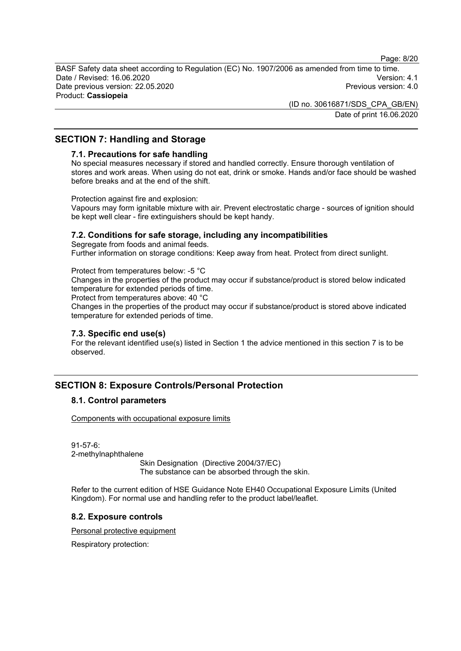Page: 8/20

BASF Safety data sheet according to Regulation (EC) No. 1907/2006 as amended from time to time. Date / Revised: 16.06.2020 Version: 4.1 Date previous version: 22.05.2020 Product: **Cassiopeia**

> (ID no. 30616871/SDS\_CPA\_GB/EN) Date of print 16.06.2020

## **SECTION 7: Handling and Storage**

#### **7.1. Precautions for safe handling**

No special measures necessary if stored and handled correctly. Ensure thorough ventilation of stores and work areas. When using do not eat, drink or smoke. Hands and/or face should be washed before breaks and at the end of the shift.

Protection against fire and explosion:

Vapours may form ignitable mixture with air. Prevent electrostatic charge - sources of ignition should be kept well clear - fire extinguishers should be kept handy.

#### **7.2. Conditions for safe storage, including any incompatibilities**

Segregate from foods and animal feeds. Further information on storage conditions: Keep away from heat. Protect from direct sunlight.

#### Protect from temperatures below: -5 °C

Changes in the properties of the product may occur if substance/product is stored below indicated temperature for extended periods of time.

Protect from temperatures above: 40 °C

Changes in the properties of the product may occur if substance/product is stored above indicated temperature for extended periods of time.

#### **7.3. Specific end use(s)**

For the relevant identified use(s) listed in Section 1 the advice mentioned in this section 7 is to be observed.

## **SECTION 8: Exposure Controls/Personal Protection**

## **8.1. Control parameters**

Components with occupational exposure limits

91-57-6: 2-methylnaphthalene Skin Designation (Directive 2004/37/EC) The substance can be absorbed through the skin.

Refer to the current edition of HSE Guidance Note EH40 Occupational Exposure Limits (United Kingdom). For normal use and handling refer to the product label/leaflet.

## **8.2. Exposure controls**

Personal protective equipment

Respiratory protection: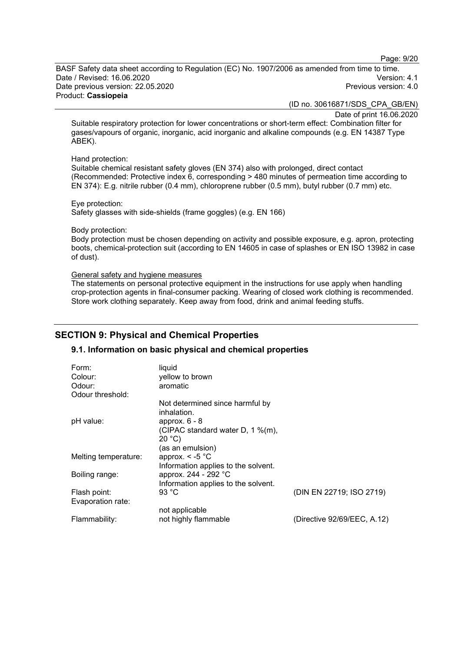Page: 9/20

BASF Safety data sheet according to Regulation (EC) No. 1907/2006 as amended from time to time. Date / Revised: 16.06.2020 Version: 4.1 Date previous version: 22.05.2020 Product: **Cassiopeia**

(ID no. 30616871/SDS\_CPA\_GB/EN)

Date of print 16.06.2020 Suitable respiratory protection for lower concentrations or short-term effect: Combination filter for

gases/vapours of organic, inorganic, acid inorganic and alkaline compounds (e.g. EN 14387 Type ABEK).

#### Hand protection:

Suitable chemical resistant safety gloves (EN 374) also with prolonged, direct contact (Recommended: Protective index 6, corresponding > 480 minutes of permeation time according to EN 374): E.g. nitrile rubber (0.4 mm), chloroprene rubber (0.5 mm), butyl rubber (0.7 mm) etc.

Eye protection: Safety glasses with side-shields (frame goggles) (e.g. EN 166)

#### Body protection:

Body protection must be chosen depending on activity and possible exposure, e.g. apron, protecting boots, chemical-protection suit (according to EN 14605 in case of splashes or EN ISO 13982 in case of dust).

#### General safety and hygiene measures

The statements on personal protective equipment in the instructions for use apply when handling crop-protection agents in final-consumer packing. Wearing of closed work clothing is recommended. Store work clothing separately. Keep away from food, drink and animal feeding stuffs.

## **SECTION 9: Physical and Chemical Properties**

## **9.1. Information on basic physical and chemical properties**

| Form:                | liquid                              |                             |
|----------------------|-------------------------------------|-----------------------------|
| Colour:              | yellow to brown                     |                             |
| Odour:               | aromatic                            |                             |
| Odour threshold:     |                                     |                             |
|                      | Not determined since harmful by     |                             |
|                      | inhalation.                         |                             |
| pH value:            | approx. $6 - 8$                     |                             |
|                      | (CIPAC standard water D, 1 %(m),    |                             |
|                      | 20 °C                               |                             |
|                      | (as an emulsion)                    |                             |
| Melting temperature: | approx. $\le$ -5 $^{\circ}$ C       |                             |
|                      | Information applies to the solvent. |                             |
| Boiling range:       | approx. 244 - 292 °C                |                             |
|                      | Information applies to the solvent. |                             |
| Flash point:         | 93 $^{\circ}$ C                     | (DIN EN 22719; ISO 2719)    |
| Evaporation rate:    |                                     |                             |
|                      | not applicable                      |                             |
| Flammability:        | not highly flammable                | (Directive 92/69/EEC, A.12) |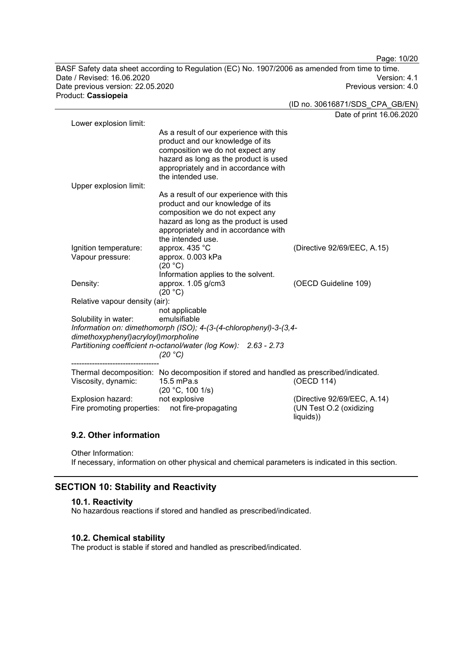Page: 10/20 BASF Safety data sheet according to Regulation (EC) No. 1907/2006 as amended from time to time. Date / Revised: 16.06.2020 Version: 4.1 Date previous version: 22.05.2020

Product: **Cassiopeia**

(ID no. 30616871/SDS\_CPA\_GB/EN) Date of print 16.06.2020

| Lower explosion limit:                |                                                                                                                                                                                                                       | Dale of briff To.oo         |
|---------------------------------------|-----------------------------------------------------------------------------------------------------------------------------------------------------------------------------------------------------------------------|-----------------------------|
|                                       | As a result of our experience with this<br>product and our knowledge of its<br>composition we do not expect any<br>hazard as long as the product is used<br>appropriately and in accordance with<br>the intended use. |                             |
| Upper explosion limit:                |                                                                                                                                                                                                                       |                             |
|                                       | As a result of our experience with this<br>product and our knowledge of its<br>composition we do not expect any<br>hazard as long as the product is used<br>appropriately and in accordance with<br>the intended use. |                             |
| Ignition temperature:                 | approx. 435 °C                                                                                                                                                                                                        | (Directive 92/69/EEC, A.15) |
| Vapour pressure:                      | approx. 0.003 kPa<br>(20 °C)                                                                                                                                                                                          |                             |
|                                       | Information applies to the solvent.                                                                                                                                                                                   |                             |
| Density:                              | approx. 1.05 g/cm3<br>(20 °C)                                                                                                                                                                                         | (OECD Guideline 109)        |
| Relative vapour density (air):        |                                                                                                                                                                                                                       |                             |
|                                       | not applicable                                                                                                                                                                                                        |                             |
| Solubility in water:                  | emulsifiable                                                                                                                                                                                                          |                             |
|                                       | Information on: dimethomorph (ISO); 4-(3-(4-chlorophenyl)-3-(3,4-                                                                                                                                                     |                             |
| dimethoxyphenyl) acryloyl) morpholine |                                                                                                                                                                                                                       |                             |
|                                       | Partitioning coefficient n-octanol/water (log Kow): 2.63 - 2.73                                                                                                                                                       |                             |
|                                       | (20 °C)                                                                                                                                                                                                               |                             |
|                                       |                                                                                                                                                                                                                       |                             |
| Viscosity, dynamic:                   | Thermal decomposition: No decomposition if stored and handled as prescribed/indicated.<br>15.5 mPa.s                                                                                                                  | (OECD 114)                  |
|                                       | (20 °C, 100 1/s)                                                                                                                                                                                                      |                             |
| Explosion hazard:                     | not explosive                                                                                                                                                                                                         | (Directive 92/69/EEC, A.14) |
| Fire promoting properties:            | not fire-propagating                                                                                                                                                                                                  | (UN Test O.2 (oxidizing     |
|                                       |                                                                                                                                                                                                                       | liquids))                   |

## **9.2. Other information**

Other Information:

If necessary, information on other physical and chemical parameters is indicated in this section.

## **SECTION 10: Stability and Reactivity**

## **10.1. Reactivity**

No hazardous reactions if stored and handled as prescribed/indicated.

#### **10.2. Chemical stability**

The product is stable if stored and handled as prescribed/indicated.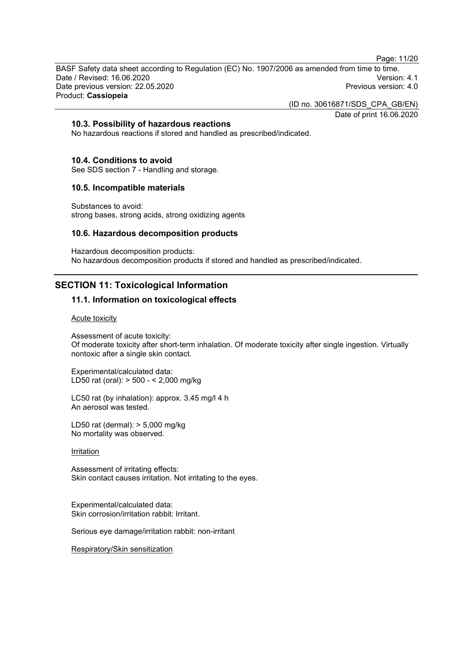Page: 11/20

BASF Safety data sheet according to Regulation (EC) No. 1907/2006 as amended from time to time. Date / Revised: 16.06.2020 Version: 4.1 Date previous version: 22.05.2020 Product: **Cassiopeia**

(ID no. 30616871/SDS\_CPA\_GB/EN)

Date of print 16.06.2020

## **10.3. Possibility of hazardous reactions**

No hazardous reactions if stored and handled as prescribed/indicated.

#### **10.4. Conditions to avoid**

See SDS section 7 - Handling and storage.

#### **10.5. Incompatible materials**

Substances to avoid: strong bases, strong acids, strong oxidizing agents

#### **10.6. Hazardous decomposition products**

Hazardous decomposition products: No hazardous decomposition products if stored and handled as prescribed/indicated.

## **SECTION 11: Toxicological Information**

## **11.1. Information on toxicological effects**

Acute toxicity

Assessment of acute toxicity: Of moderate toxicity after short-term inhalation. Of moderate toxicity after single ingestion. Virtually nontoxic after a single skin contact.

Experimental/calculated data: LD50 rat (oral): > 500 - < 2,000 mg/kg

LC50 rat (by inhalation): approx. 3.45 mg/l 4 h An aerosol was tested.

LD50 rat (dermal): > 5,000 mg/kg No mortality was observed.

#### **Irritation**

Assessment of irritating effects: Skin contact causes irritation. Not irritating to the eyes.

Experimental/calculated data: Skin corrosion/irritation rabbit: Irritant.

Serious eye damage/irritation rabbit: non-irritant

Respiratory/Skin sensitization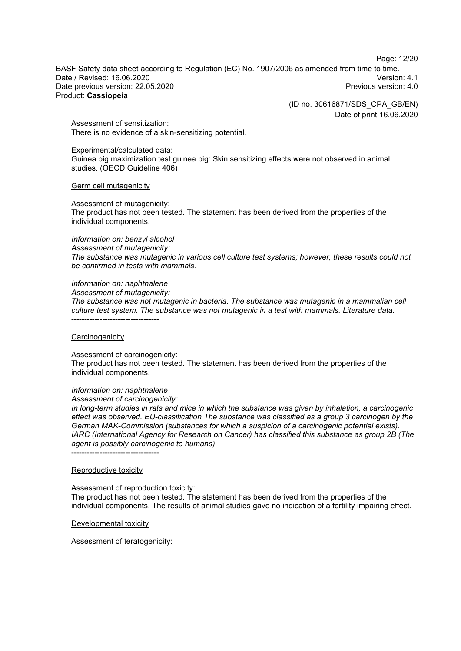Page: 12/20

BASF Safety data sheet according to Regulation (EC) No. 1907/2006 as amended from time to time. Date / Revised: 16.06.2020 Version: 4.1 Date previous version: 22.05.2020 Product: **Cassiopeia**

(ID no. 30616871/SDS\_CPA\_GB/EN)

Date of print 16.06.2020

Assessment of sensitization: There is no evidence of a skin-sensitizing potential.

Experimental/calculated data: Guinea pig maximization test guinea pig: Skin sensitizing effects were not observed in animal studies. (OECD Guideline 406)

Germ cell mutagenicity

Assessment of mutagenicity: The product has not been tested. The statement has been derived from the properties of the individual components.

*Information on: benzyl alcohol*

*Assessment of mutagenicity:*

*The substance was mutagenic in various cell culture test systems; however, these results could not be confirmed in tests with mammals.*

*Information on: naphthalene*

*Assessment of mutagenicity:*

*The substance was not mutagenic in bacteria. The substance was mutagenic in a mammalian cell culture test system. The substance was not mutagenic in a test with mammals. Literature data.* ----------------------------------

#### **Carcinogenicity**

Assessment of carcinogenicity: The product has not been tested. The statement has been derived from the properties of the individual components.

#### *Information on: naphthalene*

*Assessment of carcinogenicity:*

*In long-term studies in rats and mice in which the substance was given by inhalation, a carcinogenic effect was observed. EU-classification The substance was classified as a group 3 carcinogen by the German MAK-Commission (substances for which a suspicion of a carcinogenic potential exists). IARC (International Agency for Research on Cancer) has classified this substance as group 2B (The agent is possibly carcinogenic to humans).*

----------------------------------

#### Reproductive toxicity

Assessment of reproduction toxicity:

The product has not been tested. The statement has been derived from the properties of the individual components. The results of animal studies gave no indication of a fertility impairing effect.

Developmental toxicity

Assessment of teratogenicity: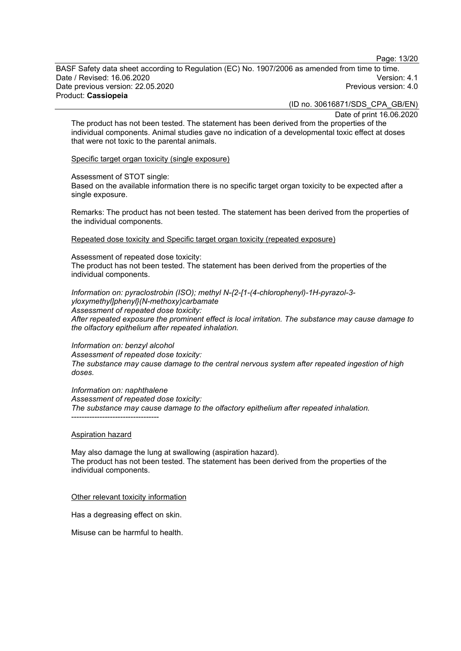Page: 13/20

BASF Safety data sheet according to Regulation (EC) No. 1907/2006 as amended from time to time. Date / Revised: 16.06.2020 Version: 4.1 Date previous version: 22.05.2020 Product: **Cassiopeia**

(ID no. 30616871/SDS\_CPA\_GB/EN)

Date of print 16.06.2020

The product has not been tested. The statement has been derived from the properties of the individual components. Animal studies gave no indication of a developmental toxic effect at doses that were not toxic to the parental animals.

Specific target organ toxicity (single exposure)

Assessment of STOT single:

Based on the available information there is no specific target organ toxicity to be expected after a single exposure.

Remarks: The product has not been tested. The statement has been derived from the properties of the individual components.

Repeated dose toxicity and Specific target organ toxicity (repeated exposure)

Assessment of repeated dose toxicity: The product has not been tested. The statement has been derived from the properties of the individual components.

*Information on: pyraclostrobin (ISO); methyl N-{2-[1-(4-chlorophenyl)-1H-pyrazol-3 yloxymethyl]phenyl}(N-methoxy)carbamate Assessment of repeated dose toxicity: After repeated exposure the prominent effect is local irritation. The substance may cause damage to the olfactory epithelium after repeated inhalation.*

*Information on: benzyl alcohol Assessment of repeated dose toxicity: The substance may cause damage to the central nervous system after repeated ingestion of high doses.*

*Information on: naphthalene Assessment of repeated dose toxicity: The substance may cause damage to the olfactory epithelium after repeated inhalation.* ----------------------------------

#### Aspiration hazard

May also damage the lung at swallowing (aspiration hazard). The product has not been tested. The statement has been derived from the properties of the individual components.

Other relevant toxicity information

Has a degreasing effect on skin.

Misuse can be harmful to health.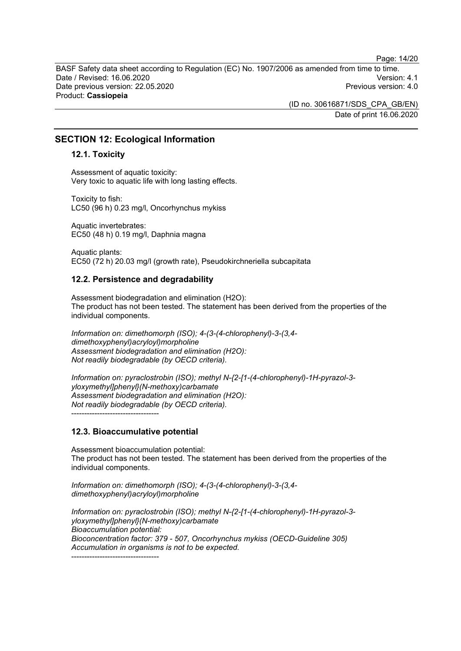Page: 14/20

BASF Safety data sheet according to Regulation (EC) No. 1907/2006 as amended from time to time. Date / Revised: 16.06.2020 Version: 4.1 Date previous version: 22.05.2020 Product: **Cassiopeia**

> (ID no. 30616871/SDS\_CPA\_GB/EN) Date of print 16.06.2020

## **SECTION 12: Ecological Information**

#### **12.1. Toxicity**

Assessment of aquatic toxicity: Very toxic to aquatic life with long lasting effects.

Toxicity to fish: LC50 (96 h) 0.23 mg/l, Oncorhynchus mykiss

Aquatic invertebrates: EC50 (48 h) 0.19 mg/l, Daphnia magna

Aquatic plants: EC50 (72 h) 20.03 mg/l (growth rate), Pseudokirchneriella subcapitata

#### **12.2. Persistence and degradability**

Assessment biodegradation and elimination (H2O): The product has not been tested. The statement has been derived from the properties of the individual components.

*Information on: dimethomorph (ISO); 4-(3-(4-chlorophenyl)-3-(3,4 dimethoxyphenyl)acryloyl)morpholine Assessment biodegradation and elimination (H2O): Not readily biodegradable (by OECD criteria).*

*Information on: pyraclostrobin (ISO); methyl N-{2-[1-(4-chlorophenyl)-1H-pyrazol-3 yloxymethyl]phenyl}(N-methoxy)carbamate Assessment biodegradation and elimination (H2O): Not readily biodegradable (by OECD criteria).* ----------------------------------

## **12.3. Bioaccumulative potential**

Assessment bioaccumulation potential: The product has not been tested. The statement has been derived from the properties of the individual components.

*Information on: dimethomorph (ISO); 4-(3-(4-chlorophenyl)-3-(3,4 dimethoxyphenyl)acryloyl)morpholine*

*Information on: pyraclostrobin (ISO); methyl N-{2-[1-(4-chlorophenyl)-1H-pyrazol-3 yloxymethyl]phenyl}(N-methoxy)carbamate Bioaccumulation potential: Bioconcentration factor: 379 - 507, Oncorhynchus mykiss (OECD-Guideline 305) Accumulation in organisms is not to be expected.* ----------------------------------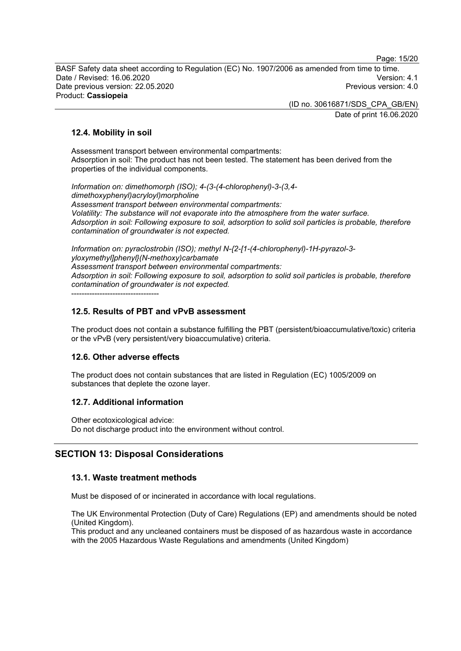Page: 15/20

BASF Safety data sheet according to Regulation (EC) No. 1907/2006 as amended from time to time. Date / Revised: 16.06.2020 Version: 4.1 Date previous version: 22.05.2020 Product: **Cassiopeia**

> (ID no. 30616871/SDS\_CPA\_GB/EN) Date of print 16.06.2020

## **12.4. Mobility in soil**

Assessment transport between environmental compartments: Adsorption in soil: The product has not been tested. The statement has been derived from the properties of the individual components.

*Information on: dimethomorph (ISO); 4-(3-(4-chlorophenyl)-3-(3,4 dimethoxyphenyl)acryloyl)morpholine Assessment transport between environmental compartments: Volatility: The substance will not evaporate into the atmosphere from the water surface. Adsorption in soil: Following exposure to soil, adsorption to solid soil particles is probable, therefore contamination of groundwater is not expected.*

*Information on: pyraclostrobin (ISO); methyl N-{2-[1-(4-chlorophenyl)-1H-pyrazol-3 yloxymethyl]phenyl}(N-methoxy)carbamate Assessment transport between environmental compartments: Adsorption in soil: Following exposure to soil, adsorption to solid soil particles is probable, therefore contamination of groundwater is not expected.*

----------------------------------

## **12.5. Results of PBT and vPvB assessment**

The product does not contain a substance fulfilling the PBT (persistent/bioaccumulative/toxic) criteria or the vPvB (very persistent/very bioaccumulative) criteria.

## **12.6. Other adverse effects**

The product does not contain substances that are listed in Regulation (EC) 1005/2009 on substances that deplete the ozone layer.

## **12.7. Additional information**

Other ecotoxicological advice: Do not discharge product into the environment without control.

## **SECTION 13: Disposal Considerations**

## **13.1. Waste treatment methods**

Must be disposed of or incinerated in accordance with local regulations.

The UK Environmental Protection (Duty of Care) Regulations (EP) and amendments should be noted (United Kingdom).

This product and any uncleaned containers must be disposed of as hazardous waste in accordance with the 2005 Hazardous Waste Regulations and amendments (United Kingdom)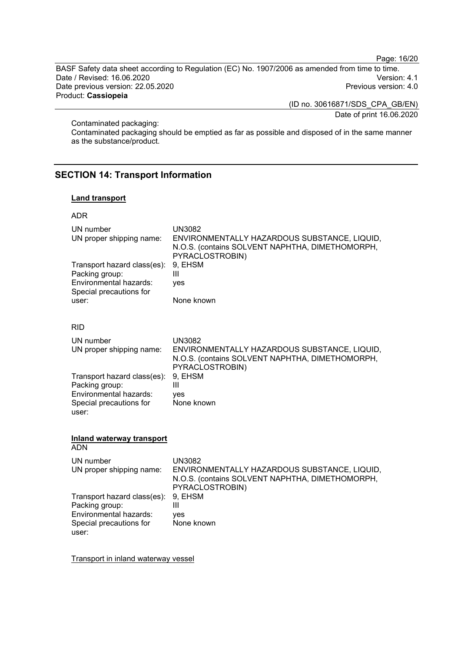Page: 16/20

BASF Safety data sheet according to Regulation (EC) No. 1907/2006 as amended from time to time. Date / Revised: 16.06.2020 Version: 4.1 Date previous version: 22.05.2020 Product: **Cassiopeia**

> (ID no. 30616871/SDS\_CPA\_GB/EN) Date of print 16.06.2020

Contaminated packaging:

Contaminated packaging should be emptied as far as possible and disposed of in the same manner as the substance/product.

## **SECTION 14: Transport Information**

#### **Land transport**

ADR

| UN number<br>UN proper shipping name:<br>Transport hazard class(es):<br>Packing group:<br>Environmental hazards:<br>Special precautions for<br>user: | <b>UN3082</b><br>ENVIRONMENTALLY HAZARDOUS SUBSTANCE, LIQUID,<br>N.O.S. (contains SOLVENT NAPHTHA, DIMETHOMORPH,<br>PYRACLOSTROBIN)<br>9, EHSM<br>$\mathbf{III}$<br>ves<br>None known |  |  |
|------------------------------------------------------------------------------------------------------------------------------------------------------|---------------------------------------------------------------------------------------------------------------------------------------------------------------------------------------|--|--|
| <b>RID</b>                                                                                                                                           |                                                                                                                                                                                       |  |  |
| UN number<br>UN proper shipping name:                                                                                                                | <b>UN3082</b><br>ENVIRONMENTALLY HAZARDOUS SUBSTANCE, LIQUID,<br>N.O.S. (contains SOLVENT NAPHTHA, DIMETHOMORPH,<br>PYRACLOSTROBIN)                                                   |  |  |
| Transport hazard class(es):<br>Packing group:<br>Environmental hazards:<br>Special precautions for<br>user:                                          | 9, EHSM<br>Ш<br>ves<br>None known                                                                                                                                                     |  |  |
| <b>Inland waterway transport</b><br><b>ADN</b>                                                                                                       |                                                                                                                                                                                       |  |  |
| UN number<br>UN proper shipping name:                                                                                                                | <b>UN3082</b><br>ENVIRONMENTALLY HAZARDOUS SUBSTANCE, LIQUID,<br>N.O.S. (contains SOLVENT NAPHTHA, DIMETHOMORPH,<br>PYRACLOSTROBIN)                                                   |  |  |
| Transport hazard class(es):<br>Packing group:<br>Environmental hazards:<br>Special precautions for<br>user:                                          | 9, EHSM<br>$\mathbf{III}$<br>ves<br>None known                                                                                                                                        |  |  |

Transport in inland waterway vessel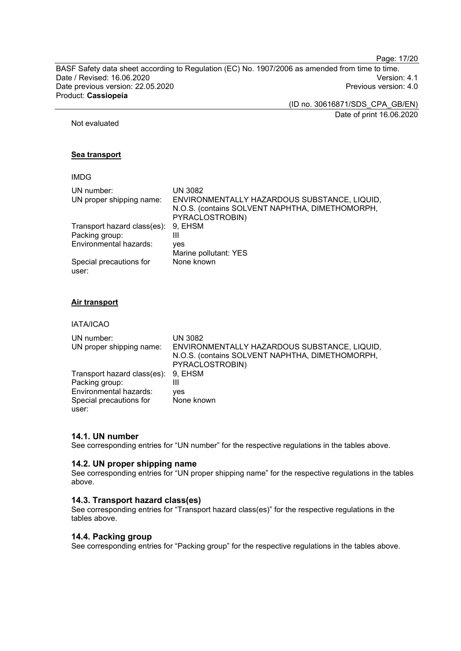Page: 17/20

BASF Safety data sheet according to Regulation (EC) No. 1907/2006 as amended from time to time. Date / Revised: 16.06.2020 Version: 4.1 Date previous version: 22.05.2020 Product: **Cassiopeia**

> (ID no. 30616871/SDS\_CPA\_GB/EN) Date of print 16.06.2020

Not evaluated

#### **Sea transport**

## IMDG

| UN number:                       | UN 3082                                                                                                            |
|----------------------------------|--------------------------------------------------------------------------------------------------------------------|
| UN proper shipping name:         | ENVIRONMENTALLY HAZARDOUS SUBSTANCE, LIQUID,<br>N.O.S. (contains SOLVENT NAPHTHA, DIMETHOMORPH,<br>PYRACLOSTROBIN) |
| Transport hazard class(es):      | 9, EHSM                                                                                                            |
| Packing group:                   | Ш                                                                                                                  |
| Environmental hazards:           | ves                                                                                                                |
|                                  | Marine pollutant: YES                                                                                              |
| Special precautions for<br>user: | None known                                                                                                         |

#### **Air transport**

IATA/ICAO

| UN number:<br>UN proper shipping name: | <b>UN 3082</b><br>ENVIRONMENTALLY HAZARDOUS SUBSTANCE, LIQUID,<br>N.O.S. (contains SOLVENT NAPHTHA, DIMETHOMORPH,<br>PYRACLOSTROBIN) |
|----------------------------------------|--------------------------------------------------------------------------------------------------------------------------------------|
| Transport hazard class(es): 9, EHSM    |                                                                                                                                      |
| Packing group:                         | Ш                                                                                                                                    |
| Environmental hazards:                 | ves                                                                                                                                  |
| Special precautions for                | None known                                                                                                                           |
| user:                                  |                                                                                                                                      |

## **14.1. UN number**

See corresponding entries for "UN number" for the respective regulations in the tables above.

#### **14.2. UN proper shipping name**

See corresponding entries for "UN proper shipping name" for the respective regulations in the tables above.

#### **14.3. Transport hazard class(es)**

See corresponding entries for "Transport hazard class(es)" for the respective regulations in the tables above.

#### **14.4. Packing group**

See corresponding entries for "Packing group" for the respective regulations in the tables above.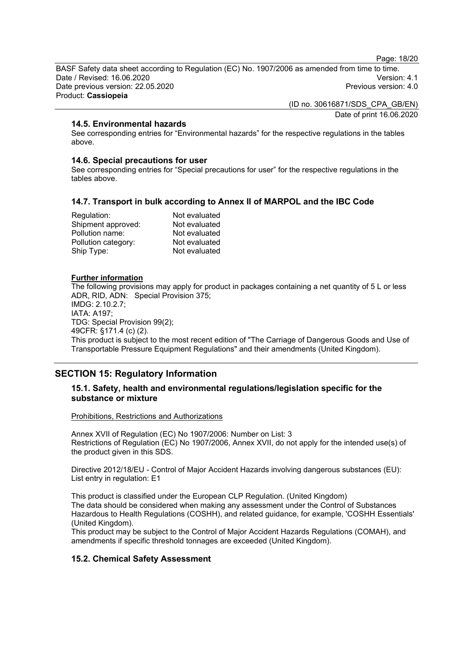Page: 18/20

BASF Safety data sheet according to Regulation (EC) No. 1907/2006 as amended from time to time. Date / Revised: 16.06.2020 Version: 4.1 Date previous version: 22.05.2020 Product: **Cassiopeia**

> (ID no. 30616871/SDS\_CPA\_GB/EN) Date of print 16.06.2020

**14.5. Environmental hazards**

See corresponding entries for "Environmental hazards" for the respective regulations in the tables above.

#### **14.6. Special precautions for user**

See corresponding entries for "Special precautions for user" for the respective regulations in the tables above.

## **14.7. Transport in bulk according to Annex II of MARPOL and the IBC Code**

| Not evaluated |
|---------------|
| Not evaluated |
| Not evaluated |
| Not evaluated |
| Not evaluated |
|               |

#### **Further information**

The following provisions may apply for product in packages containing a net quantity of 5 L or less ADR, RID, ADN: Special Provision 375; IMDG: 2.10.2.7; IATA: A197; TDG: Special Provision 99(2); 49CFR: §171.4 (c) (2). This product is subject to the most recent edition of "The Carriage of Dangerous Goods and Use of Transportable Pressure Equipment Regulations" and their amendments (United Kingdom).

## **SECTION 15: Regulatory Information**

## **15.1. Safety, health and environmental regulations/legislation specific for the substance or mixture**

Prohibitions, Restrictions and Authorizations

Annex XVII of Regulation (EC) No 1907/2006: Number on List: 3 Restrictions of Regulation (EC) No 1907/2006, Annex XVII, do not apply for the intended use(s) of the product given in this SDS.

Directive 2012/18/EU - Control of Major Accident Hazards involving dangerous substances (EU): List entry in regulation: E1

This product is classified under the European CLP Regulation. (United Kingdom) The data should be considered when making any assessment under the Control of Substances Hazardous to Health Regulations (COSHH), and related guidance, for example, 'COSHH Essentials' (United Kingdom).

This product may be subject to the Control of Major Accident Hazards Regulations (COMAH), and amendments if specific threshold tonnages are exceeded (United Kingdom).

## **15.2. Chemical Safety Assessment**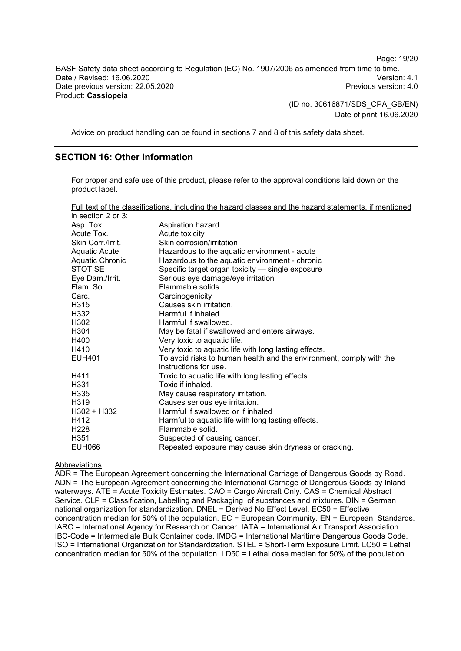BASF Safety data sheet according to Regulation (EC) No. 1907/2006 as amended from time to time. Date / Revised: 16.06.2020 Version: 4.1 Date previous version: 22.05.2020 Product: **Cassiopeia**

> (ID no. 30616871/SDS\_CPA\_GB/EN) Date of print 16.06.2020

Advice on product handling can be found in sections 7 and 8 of this safety data sheet.

## **SECTION 16: Other Information**

For proper and safe use of this product, please refer to the approval conditions laid down on the product label.

| Full text of the classifications, including the hazard classes and the hazard statements, if mentioned |  |  |  |
|--------------------------------------------------------------------------------------------------------|--|--|--|
| in cootion $2 \times 2$                                                                                |  |  |  |

| III SCUIUII Z UI J.  |                                                                                              |
|----------------------|----------------------------------------------------------------------------------------------|
| Asp. Tox.            | Aspiration hazard                                                                            |
| Acute Tox.           | Acute toxicity                                                                               |
| Skin Corr./Irrit.    | Skin corrosion/irritation                                                                    |
| <b>Aquatic Acute</b> | Hazardous to the aquatic environment - acute                                                 |
| Aquatic Chronic      | Hazardous to the aquatic environment - chronic                                               |
| STOT SE              | Specific target organ toxicity - single exposure                                             |
| Eye Dam./Irrit.      | Serious eye damage/eye irritation                                                            |
| Flam, Sol.           | Flammable solids                                                                             |
| Carc.                | Carcinogenicity                                                                              |
| H315                 | Causes skin irritation.                                                                      |
| H332                 | Harmful if inhaled.                                                                          |
| H302                 | Harmful if swallowed.                                                                        |
| H304                 | May be fatal if swallowed and enters airways.                                                |
| H400                 | Very toxic to aquatic life.                                                                  |
| H410                 | Very toxic to aquatic life with long lasting effects.                                        |
| <b>EUH401</b>        | To avoid risks to human health and the environment, comply with the<br>instructions for use. |
| H411                 | Toxic to aquatic life with long lasting effects.                                             |
| H <sub>331</sub>     | Toxic if inhaled.                                                                            |
| H <sub>335</sub>     | May cause respiratory irritation.                                                            |
| H319                 | Causes serious eye irritation.                                                               |
| H302 + H332          | Harmful if swallowed or if inhaled                                                           |
| H412                 | Harmful to aquatic life with long lasting effects.                                           |
| H <sub>228</sub>     | Flammable solid.                                                                             |
| H <sub>351</sub>     | Suspected of causing cancer.                                                                 |
| <b>EUH066</b>        | Repeated exposure may cause skin dryness or cracking.                                        |

#### Abbreviations

ADR = The European Agreement concerning the International Carriage of Dangerous Goods by Road. ADN = The European Agreement concerning the International Carriage of Dangerous Goods by Inland waterways. ATE = Acute Toxicity Estimates. CAO = Cargo Aircraft Only. CAS = Chemical Abstract Service. CLP = Classification, Labelling and Packaging of substances and mixtures. DIN = German national organization for standardization. DNEL = Derived No Effect Level. EC50 = Effective concentration median for 50% of the population. EC = European Community. EN = European Standards. IARC = International Agency for Research on Cancer. IATA = International Air Transport Association. IBC-Code = Intermediate Bulk Container code. IMDG = International Maritime Dangerous Goods Code. ISO = International Organization for Standardization. STEL = Short-Term Exposure Limit. LC50 = Lethal concentration median for 50% of the population. LD50 = Lethal dose median for 50% of the population.

Page: 19/20